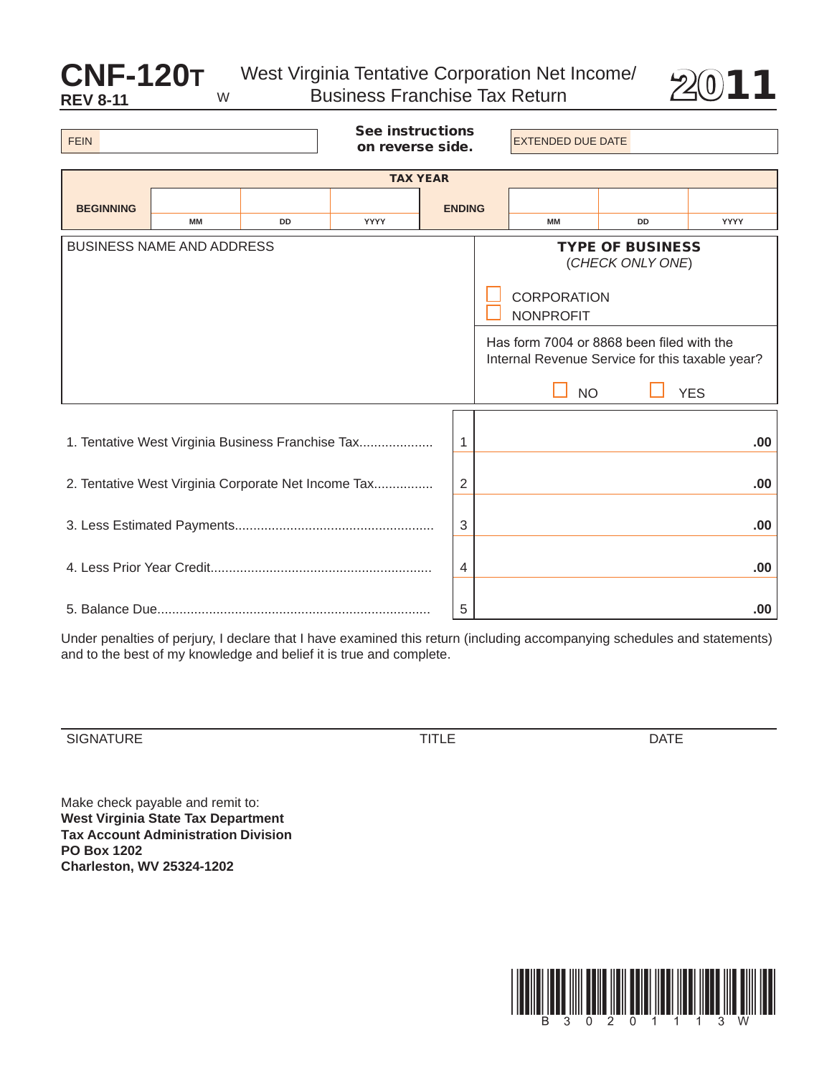## W

**CNF-120T** West Virginia Tentative Corporation Net Income/ 2011 Business Franchise Tax Return



| <b>FEIN</b>                                                                                                                                                                                                                                          |    |           | <b>See instructions</b><br>on reverse side. |               |  | <b>EXTENDED DUE DATE</b> |           |      |  |
|------------------------------------------------------------------------------------------------------------------------------------------------------------------------------------------------------------------------------------------------------|----|-----------|---------------------------------------------|---------------|--|--------------------------|-----------|------|--|
| <b>TAX YEAR</b>                                                                                                                                                                                                                                      |    |           |                                             |               |  |                          |           |      |  |
| <b>BEGINNING</b>                                                                                                                                                                                                                                     |    |           |                                             | <b>ENDING</b> |  |                          |           |      |  |
|                                                                                                                                                                                                                                                      | MM | <b>DD</b> | <b>YYYY</b>                                 |               |  | <b>MM</b>                | <b>DD</b> | YYYY |  |
| <b>BUSINESS NAME AND ADDRESS</b><br><b>TYPE OF BUSINESS</b><br>(CHECK ONLY ONE)<br><b>CORPORATION</b><br><b>NONPROFIT</b><br>Has form 7004 or 8868 been filed with the<br>Internal Revenue Service for this taxable year?<br><b>NO</b><br><b>YES</b> |    |           |                                             |               |  |                          |           |      |  |
| 1. Tentative West Virginia Business Franchise Tax<br>1                                                                                                                                                                                               |    |           |                                             |               |  | .00.                     |           |      |  |
| 2. Tentative West Virginia Corporate Net Income Tax<br>2                                                                                                                                                                                             |    |           |                                             |               |  | .00                      |           |      |  |
| 3                                                                                                                                                                                                                                                    |    |           |                                             |               |  | .00.                     |           |      |  |
|                                                                                                                                                                                                                                                      |    |           |                                             |               |  |                          |           | .00  |  |
| 5                                                                                                                                                                                                                                                    |    |           |                                             |               |  |                          |           | .00  |  |

Under penalties of perjury, I declare that I have examined this return (including accompanying schedules and statements) and to the best of my knowledge and belief it is true and complete.

SIGNaTuRE TITLE daTE

Make check payable and remit to: **West Virginia State Tax Department Tax Account Administration Division PO box 1202 Charleston, WV 25324-1202**